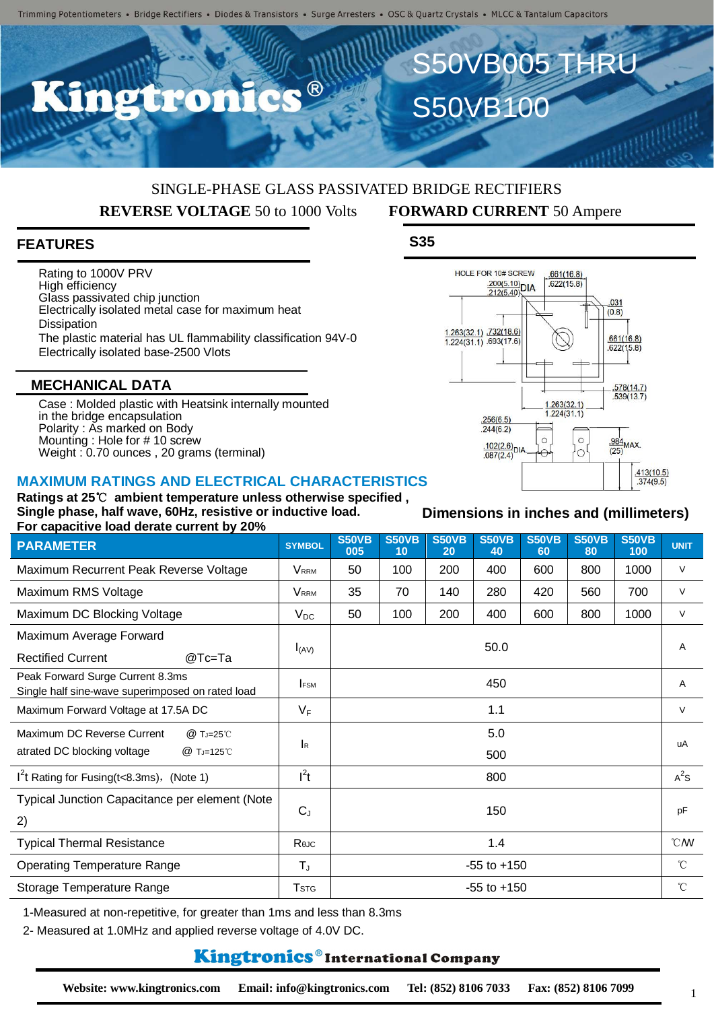## SINGLE-PHASE GLASS PASSIVATED BRIDGE RECTIFIERS **REVERSE VOLTAGE** 50 to 1000 Volts **FORWARD CURRENT** 50 Ampere

### **FEATURES**

Rating to 1000V PRV High efficiency Glass passivated chip junction Electrically isolated metal case for maximum heat **Dissipation** The plastic material has UL flammability classification 94V-0 Electrically isolated base-2500 Vlots

#### **MECHANICAL DATA**

Case : Molded plastic with Heatsink internally mounted in the bridge encapsulation Polarity : As marked on Body Mounting : Hole for # 10 screw Weight : 0.70 ounces , 20 grams (terminal)

#### **MAXIMUM RATINGS AND ELECTRICAL CHARACTERISTICS**

**Ratings at 25**℃ **ambient temperature unless otherwise specified , Single phase, half wave, 60Hz, resistive or inductive load. For capacitive load derate current by 20%**

| <b>PARAMETER</b>                                                                     | <b>SYMBOL</b>           | <b>S50VB</b><br>005 | <b>S50VB</b><br>10 | <b>S50VB</b><br>20 | <b>S50VB</b><br>40 | <b>S50VB</b><br>60 | <b>S50VB</b><br>80 | <b>S50VB</b><br>100 | <b>UNIT</b>      |
|--------------------------------------------------------------------------------------|-------------------------|---------------------|--------------------|--------------------|--------------------|--------------------|--------------------|---------------------|------------------|
| Maximum Recurrent Peak Reverse Voltage                                               | <b>VRRM</b>             | 50                  | 100                | 200                | 400                | 600                | 800                | 1000                | $\vee$           |
| Maximum RMS Voltage                                                                  | <b>VRRM</b>             | 35                  | 70                 | 140                | 280                | 420                | 560                | 700                 | $\vee$           |
| Maximum DC Blocking Voltage                                                          | $V_{DC}$                | 50                  | 100                | 200                | 400                | 600                | 800                | 1000                | $\vee$           |
| Maximum Average Forward<br><b>Rectified Current</b><br>@Tc=Ta                        | $I_{(AV)}$              | 50.0                |                    |                    |                    |                    |                    |                     | A                |
| Peak Forward Surge Current 8.3ms<br>Single half sine-wave superimposed on rated load | <b>IFSM</b>             | 450                 |                    |                    |                    |                    |                    |                     | A                |
| Maximum Forward Voltage at 17.5A DC                                                  | $V_F$                   | 1.1                 |                    |                    |                    |                    |                    |                     | $\vee$           |
| Maximum DC Reverse Current<br>@ TJ=25°C<br>atrated DC blocking voltage<br>@ TJ=125℃  | <b>I</b> R              | 5.0                 |                    |                    |                    |                    |                    |                     | uA               |
|                                                                                      |                         | 500                 |                    |                    |                    |                    |                    |                     |                  |
| $I2$ t Rating for Fusing(t<8.3ms), (Note 1)                                          | $I^2t$                  | 800                 |                    |                    |                    |                    |                    |                     | $A^2S$           |
| Typical Junction Capacitance per element (Note                                       | $C_{J}$                 | 150                 |                    |                    |                    |                    |                    |                     | pF               |
| 2)                                                                                   |                         |                     |                    |                    |                    |                    |                    |                     |                  |
| <b>Typical Thermal Resistance</b>                                                    | Reuc                    | 1.4                 |                    |                    |                    |                    |                    |                     | $\mathcal{C}$ MV |
| <b>Operating Temperature Range</b>                                                   | $T_{\text{J}}$          | $-55$ to $+150$     |                    |                    |                    |                    |                    |                     | $^{\circ}$ C     |
| Storage Temperature Range                                                            | <b>T</b> <sub>STG</sub> | $-55$ to $+150$     |                    |                    |                    |                    |                    |                     | $^{\circ}$ C     |

1-Measured at non-repetitive, for greater than 1ms and less than 8.3ms

2- Measured at 1.0MHz and applied reverse voltage of 4.0V DC.

## **Kingtronics**®International Company



**Dimensions in inches and (millimeters)**

1

S50VB100

S50VB005 THRU

**S35**